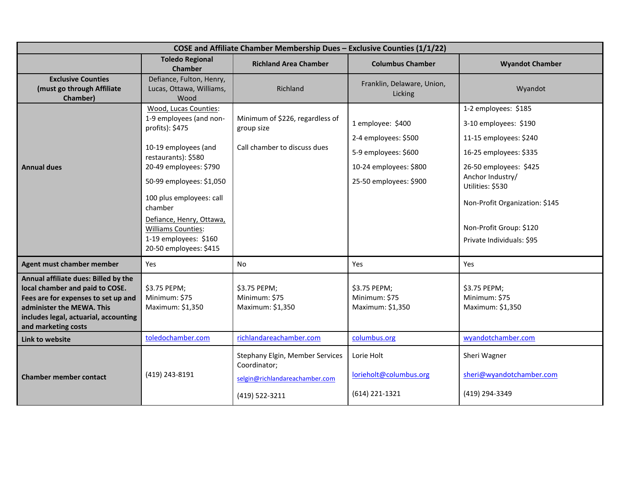| COSE and Affiliate Chamber Membership Dues - Exclusive Counties (1/1/22)                                                                                                                                    |                                                                                                                                                                                                                                                                                                                             |                                                                                                     |                                                                                                                       |                                                                                                                                                                                                                                                               |
|-------------------------------------------------------------------------------------------------------------------------------------------------------------------------------------------------------------|-----------------------------------------------------------------------------------------------------------------------------------------------------------------------------------------------------------------------------------------------------------------------------------------------------------------------------|-----------------------------------------------------------------------------------------------------|-----------------------------------------------------------------------------------------------------------------------|---------------------------------------------------------------------------------------------------------------------------------------------------------------------------------------------------------------------------------------------------------------|
|                                                                                                                                                                                                             | <b>Toledo Regional</b><br><b>Chamber</b>                                                                                                                                                                                                                                                                                    | <b>Richland Area Chamber</b>                                                                        | <b>Columbus Chamber</b>                                                                                               | <b>Wyandot Chamber</b>                                                                                                                                                                                                                                        |
| <b>Exclusive Counties</b><br>(must go through Affiliate<br>Chamber)                                                                                                                                         | Defiance, Fulton, Henry,<br>Lucas, Ottawa, Williams,<br>Wood                                                                                                                                                                                                                                                                | Richland                                                                                            | Franklin, Delaware, Union,<br>Licking                                                                                 | Wyandot                                                                                                                                                                                                                                                       |
| <b>Annual dues</b>                                                                                                                                                                                          | Wood, Lucas Counties:<br>1-9 employees (and non-<br>profits): \$475<br>10-19 employees (and<br>restaurants): \$580<br>20-49 employees: \$790<br>50-99 employees: \$1,050<br>100 plus employees: call<br>chamber<br>Defiance, Henry, Ottawa,<br><b>Williams Counties:</b><br>1-19 employees: \$160<br>20-50 employees: \$415 | Minimum of \$226, regardless of<br>group size<br>Call chamber to discuss dues                       | 1 employee: \$400<br>2-4 employees: \$500<br>5-9 employees: \$600<br>10-24 employees: \$800<br>25-50 employees: \$900 | 1-2 employees: \$185<br>3-10 employees: \$190<br>11-15 employees: \$240<br>16-25 employees: \$335<br>26-50 employees: \$425<br>Anchor Industry/<br>Utilities: \$530<br>Non-Profit Organization: \$145<br>Non-Profit Group: \$120<br>Private Individuals: \$95 |
| Agent must chamber member                                                                                                                                                                                   | Yes                                                                                                                                                                                                                                                                                                                         | No                                                                                                  | Yes                                                                                                                   | Yes                                                                                                                                                                                                                                                           |
| Annual affiliate dues: Billed by the<br>local chamber and paid to COSE.<br>Fees are for expenses to set up and<br>administer the MEWA. This<br>includes legal, actuarial, accounting<br>and marketing costs | \$3.75 PEPM;<br>Minimum: \$75<br>Maximum: \$1,350                                                                                                                                                                                                                                                                           | \$3.75 PEPM;<br>Minimum: \$75<br>Maximum: \$1,350                                                   | \$3.75 PEPM;<br>Minimum: \$75<br>Maximum: \$1,350                                                                     | \$3.75 PEPM;<br>Minimum: \$75<br>Maximum: \$1,350                                                                                                                                                                                                             |
| Link to website                                                                                                                                                                                             | toledochamber.com                                                                                                                                                                                                                                                                                                           | richlandareachamber.com                                                                             | columbus.org                                                                                                          | wyandotchamber.com                                                                                                                                                                                                                                            |
| <b>Chamber member contact</b>                                                                                                                                                                               | (419) 243-8191                                                                                                                                                                                                                                                                                                              | Stephany Elgin, Member Services<br>Coordinator;<br>selgin@richlandareachamber.com<br>(419) 522-3211 | Lorie Holt<br>lorieholt@columbus.org<br>(614) 221-1321                                                                | Sheri Wagner<br>sheri@wyandotchamber.com<br>(419) 294-3349                                                                                                                                                                                                    |